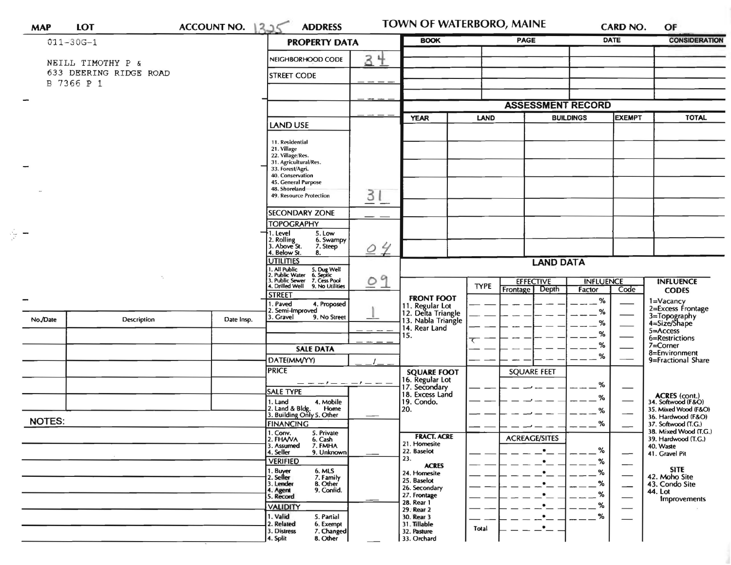| <b>MAP</b>    | <b>LOT</b>                                  | <b>ACCOUNT NO.</b> | <b>ADDRESS</b><br>225                                                                                                                        |    | TOWN OF WATERBORO, MAINE                                    |             |                                      |                          | CARD NO.                      | OF                                                                                                                                               |
|---------------|---------------------------------------------|--------------------|----------------------------------------------------------------------------------------------------------------------------------------------|----|-------------------------------------------------------------|-------------|--------------------------------------|--------------------------|-------------------------------|--------------------------------------------------------------------------------------------------------------------------------------------------|
|               | $011 - 30G - 1$                             |                    | <b>PROPERTY DATA</b>                                                                                                                         |    | <b>BOOK</b>                                                 |             | <b>PAGE</b>                          |                          | <b>DATE</b>                   | <b>CONSIDERATION</b>                                                                                                                             |
|               | NEILL TIMOTHY P &<br>633 DEERING RIDGE ROAD |                    | NEIGHBORHOOD CODE                                                                                                                            | 3生 |                                                             |             |                                      |                          |                               |                                                                                                                                                  |
|               | B 7366 P 1                                  |                    | <b>STREET CODE</b>                                                                                                                           |    |                                                             |             |                                      |                          |                               |                                                                                                                                                  |
|               |                                             |                    |                                                                                                                                              |    |                                                             |             |                                      |                          |                               |                                                                                                                                                  |
|               |                                             |                    |                                                                                                                                              |    |                                                             |             |                                      | <b>ASSESSMENT RECORD</b> |                               |                                                                                                                                                  |
|               |                                             |                    | <b>LAND USE</b>                                                                                                                              |    | <b>YEAR</b>                                                 | LAND        | <b>BUILDINGS</b>                     |                          | <b>EXEMPT</b>                 | <b>TOTAL</b>                                                                                                                                     |
|               |                                             |                    | 11. Residential                                                                                                                              |    |                                                             |             |                                      |                          |                               |                                                                                                                                                  |
|               |                                             |                    | 21. Village<br>22. Village/Res.                                                                                                              |    |                                                             |             |                                      |                          |                               |                                                                                                                                                  |
|               |                                             |                    | 31. Agricultural/Res.<br>33. Forest/Agri.                                                                                                    |    |                                                             |             |                                      |                          |                               |                                                                                                                                                  |
|               |                                             |                    | 40. Conservation<br>45. General Purpose                                                                                                      |    |                                                             |             |                                      |                          |                               |                                                                                                                                                  |
|               |                                             |                    | 48. Shoreland<br>3<br>49. Resource Protection                                                                                                |    |                                                             |             |                                      |                          |                               |                                                                                                                                                  |
|               |                                             |                    | <b>SECONDARY ZONE</b>                                                                                                                        | -- |                                                             |             |                                      |                          |                               |                                                                                                                                                  |
|               |                                             |                    | <b>TOPOGRAPHY</b>                                                                                                                            |    |                                                             |             |                                      |                          |                               |                                                                                                                                                  |
| $\gamma =$    |                                             |                    | . Level<br>5. Low<br>2. Rolling<br>3. Above St.<br>6. Swampy                                                                                 | 24 |                                                             |             |                                      |                          |                               |                                                                                                                                                  |
|               |                                             |                    | 7. Steep<br>4. Below St.<br>8.                                                                                                               |    |                                                             |             |                                      |                          |                               |                                                                                                                                                  |
|               |                                             |                    | <b>UTILITIES</b><br>1. All Public 5. Dug Well<br>2. Public Water 6. Septic<br>3. Public Sewer 7. Cess Pool<br>4. Drilled Well 9. No Utilitie |    | <b>LAND DATA</b>                                            |             |                                      |                          |                               |                                                                                                                                                  |
|               |                                             |                    |                                                                                                                                              | 09 |                                                             | <b>TYPE</b> | <b>EFFECTIVE</b><br><b>INFLUENCE</b> |                          |                               | <b>INFLUENCE</b>                                                                                                                                 |
|               |                                             |                    | 9. No Utilities<br><b>STREET</b>                                                                                                             |    | <b>FRONT FOOT</b>                                           |             | Depth<br><b>Frontage</b>             | Factor                   | Code                          | <b>CODES</b>                                                                                                                                     |
|               |                                             |                    | . Paved<br>4. Proposed<br>2. Semi-Improved                                                                                                   |    | 11. Regular Lot<br>12. Delta Triangle<br>13. Nabla Triangle |             |                                      | %<br>%                   |                               | 1=Vacancy<br>2=Excess Frontage                                                                                                                   |
| No./Date      | Description                                 | Date Insp.         | 3. Gravel<br>9. No Street                                                                                                                    |    | 14. Rear Land                                               |             |                                      | %                        |                               | 3=Topography<br>4=Size/Shape                                                                                                                     |
|               |                                             |                    |                                                                                                                                              |    | 15.                                                         |             |                                      | %                        |                               | 5=Access<br>6=Restrictions                                                                                                                       |
|               |                                             |                    | <b>SALE DATA</b>                                                                                                                             |    |                                                             |             |                                      | %                        |                               | $7 =$ Corner                                                                                                                                     |
|               |                                             |                    | DATE(MM/YY)                                                                                                                                  |    |                                                             |             | <b>SQUARE FEET</b>                   | $\%$<br>%                |                               | 8=Environment<br>9=Fractional Share                                                                                                              |
|               |                                             |                    | <b>PRICE</b>                                                                                                                                 |    | <b>SQUARE FOOT</b>                                          |             |                                      |                          |                               |                                                                                                                                                  |
|               |                                             |                    | <b>SALE TYPE</b>                                                                                                                             |    | 16. Regular Lot<br>17. Secondary                            |             |                                      |                          |                               |                                                                                                                                                  |
|               |                                             |                    | 1. Land<br>4. Mobile                                                                                                                         |    | 18. Excess Land<br>19. Condo.                               |             |                                      | %                        |                               | ACRES (cont.)<br>34. Softwood (F&O)                                                                                                              |
|               |                                             |                    | 2. Land & Bldg. Home<br>3. Building Only 5. Other<br>Home                                                                                    |    | 20.                                                         |             |                                      | %                        |                               | 35. Mixed Wood (F&O)<br>36. Hardwood (F&O)<br>37. Softwood (T.G.)<br>38. Mixed Wood (T.G.)<br>39. Hardwood (T.G.)<br>40. Waste<br>41. Gravel Pit |
| <b>NOTES:</b> |                                             |                    | <b>FINANCING</b><br>1. Conv. 5. Private<br>2. FHAVA<br>6. Cash<br>7. FMHA                                                                    |    |                                                             |             |                                      | %                        |                               |                                                                                                                                                  |
|               |                                             |                    |                                                                                                                                              |    | <b>FRACT. ACRE</b><br>21. Homesite                          |             | <b>ACREAGE/SITES</b>                 |                          |                               |                                                                                                                                                  |
|               |                                             |                    | 3. Assumed<br>4. Seller<br>9. Unknown                                                                                                        |    | 22. Baselot                                                 |             |                                      | ℅                        | —                             |                                                                                                                                                  |
|               |                                             |                    | <b>VERIFIED</b><br>6. MLS                                                                                                                    |    | 23.<br><b>ACRES</b>                                         |             | $\bullet$                            | %                        | —                             | <b>SITE</b>                                                                                                                                      |
|               |                                             |                    | 1. Buyer<br>2. Seller<br>7. Family                                                                                                           |    | 24. Homesite<br>25. Baselot                                 |             | $\bullet$<br>$\bullet$               | ℅                        | $\overbrace{\hspace{15em}}$   | 42. Moho Site                                                                                                                                    |
|               |                                             |                    | <b>B.</b> Other<br>3. Lender<br>9. Confid.<br>4. Agent<br>5. Record                                                                          |    | 26. Secondary<br>27. Frontage                               |             |                                      | %<br>%                   | —                             | 43. Condo Site<br>44. Lot                                                                                                                        |
|               |                                             |                    | <b>VALIDITY</b>                                                                                                                              |    | 28. Rear 1                                                  |             |                                      | ℅                        |                               | <b>Improvements</b>                                                                                                                              |
|               |                                             |                    | 1. Valid<br>5. Partial                                                                                                                       |    | 29. Rear 2<br>30. Rear 3                                    |             |                                      | %                        | $\overbrace{\phantom{aaaaa}}$ |                                                                                                                                                  |
|               |                                             |                    | 2. Related<br>6. Exempt<br>3. Distress<br>7. Changed                                                                                         |    | 31. Tillable<br>32. Pasture                                 | Total       | $\bullet$                            |                          |                               |                                                                                                                                                  |
|               |                                             |                    | 8. Other<br>4. Split                                                                                                                         |    | 33. Orchard                                                 |             |                                      |                          |                               |                                                                                                                                                  |